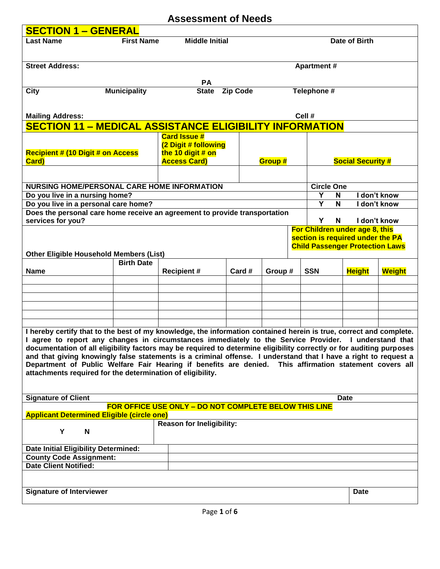## **Assessment of Needs SECTION 1 – GENERAL Last Name First Name Middle Initial Date of Birth Street Address:** Apartment # **PA City Municipality State Zip Code Telephone # Mailing Address: Cell # SECTION 11 – MEDICAL ASSISTANCE ELIGIBILITY INFORMATION Recipient # (10 Digit # on Access Card) Card Issue # (2 Digit # following the 10 digit # on Access Card) Croup # Social Security # NURSING HOME/PERSONAL CARE HOME INFORMATION Circle One Do you live in a nursing home? Y N I don't know Do you live in a personal care home? Y N I don't know Does the personal care home receive an agreement to provide transportation services for you? Y N I don't know Other Eligible Household Members (List) For Children under age 8, this section is required under the PA Child Passenger Protection Laws Name Birth Date Recipient # Card # Group # SSN Height Weight I hereby certify that to the best of my knowledge, the information contained herein is true, correct and complete. I agree to report any changes in circumstances immediately to the Service Provider. I understand that documentation of all eligibility factors may be required to determine eligibility correctly or for auditing purposes and that giving knowingly false statements is a criminal offense. I understand that I have a right to request a Department of Public Welfare Fair Hearing if benefits are denied. This affirmation statement covers all attachments required for the determination of eligibility. Signature of Client Date FOR OFFICE USE ONLY – DO NOT COMPLETE BELOW THIS LINE Applicant Determined Eligible (circle one) Y N Reason for Ineligibility: Date Initial Eligibility Determined: County Code Assignment: Date Client Notified: Signature of Interviewer Date**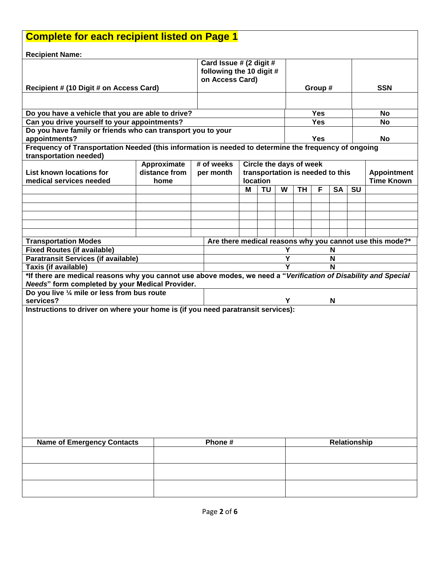| <b>Complete for each recipient listed on Page 1</b>                                                                                     |               |  |                                                                        |                                                                                                                    |           |   |                                  |              |           |           |                                                          |  |
|-----------------------------------------------------------------------------------------------------------------------------------------|---------------|--|------------------------------------------------------------------------|--------------------------------------------------------------------------------------------------------------------|-----------|---|----------------------------------|--------------|-----------|-----------|----------------------------------------------------------|--|
| <b>Recipient Name:</b>                                                                                                                  |               |  |                                                                        |                                                                                                                    |           |   |                                  |              |           |           |                                                          |  |
| Recipient # (10 Digit # on Access Card)                                                                                                 |               |  | Card Issue # (2 digit #<br>following the 10 digit #<br>on Access Card) |                                                                                                                    |           |   | Group #                          |              |           |           | <b>SSN</b>                                               |  |
|                                                                                                                                         |               |  |                                                                        |                                                                                                                    |           |   |                                  |              |           |           |                                                          |  |
| Do you have a vehicle that you are able to drive?                                                                                       |               |  |                                                                        |                                                                                                                    |           |   |                                  | <b>Yes</b>   |           |           | No                                                       |  |
| Can you drive yourself to your appointments?                                                                                            |               |  |                                                                        |                                                                                                                    |           |   |                                  | <b>Yes</b>   |           |           | No                                                       |  |
| Do you have family or friends who can transport you to your                                                                             |               |  |                                                                        |                                                                                                                    |           |   |                                  |              |           |           |                                                          |  |
| appointments?                                                                                                                           |               |  |                                                                        | <b>Yes</b><br>Frequency of Transportation Needed (this information is needed to determine the frequency of ongoing |           |   |                                  |              | <b>No</b> |           |                                                          |  |
| transportation needed)                                                                                                                  |               |  |                                                                        |                                                                                                                    |           |   |                                  |              |           |           |                                                          |  |
|                                                                                                                                         | Approximate   |  | # of weeks                                                             |                                                                                                                    |           |   | Circle the days of week          |              |           |           |                                                          |  |
| <b>List known locations for</b><br>medical services needed                                                                              | distance from |  | per month                                                              |                                                                                                                    |           |   | transportation is needed to this |              |           |           | <b>Appointment</b><br><b>Time Known</b>                  |  |
|                                                                                                                                         | home          |  |                                                                        | location<br>М                                                                                                      | <b>TU</b> | W | <b>TH</b>                        | F            | <b>SA</b> | <b>SU</b> |                                                          |  |
|                                                                                                                                         |               |  |                                                                        |                                                                                                                    |           |   |                                  |              |           |           |                                                          |  |
|                                                                                                                                         |               |  |                                                                        |                                                                                                                    |           |   |                                  |              |           |           |                                                          |  |
|                                                                                                                                         |               |  |                                                                        |                                                                                                                    |           |   |                                  |              |           |           |                                                          |  |
|                                                                                                                                         |               |  |                                                                        |                                                                                                                    |           |   |                                  |              |           |           |                                                          |  |
| <b>Transportation Modes</b>                                                                                                             |               |  |                                                                        |                                                                                                                    |           |   |                                  |              |           |           | Are there medical reasons why you cannot use this mode?* |  |
| <b>Fixed Routes (if available)</b>                                                                                                      |               |  | Υ<br>N                                                                 |                                                                                                                    |           |   |                                  |              |           |           |                                                          |  |
| <b>Paratransit Services (if available)</b>                                                                                              |               |  | Υ<br>N<br>Y<br>N                                                       |                                                                                                                    |           |   |                                  |              |           |           |                                                          |  |
| Taxis (if available)<br>*If there are medical reasons why you cannot use above modes, we need a "Verification of Disability and Special |               |  |                                                                        |                                                                                                                    |           |   |                                  |              |           |           |                                                          |  |
| Needs" form completed by your Medical Provider.                                                                                         |               |  |                                                                        |                                                                                                                    |           |   |                                  |              |           |           |                                                          |  |
| Do you live 1/4 mile or less from bus route                                                                                             |               |  |                                                                        |                                                                                                                    |           |   |                                  |              |           |           |                                                          |  |
| services?                                                                                                                               |               |  |                                                                        |                                                                                                                    |           | Υ |                                  |              | N         |           |                                                          |  |
| Instructions to driver on where your home is (if you need paratransit services):                                                        |               |  |                                                                        |                                                                                                                    |           |   |                                  |              |           |           |                                                          |  |
|                                                                                                                                         |               |  |                                                                        |                                                                                                                    |           |   |                                  |              |           |           |                                                          |  |
|                                                                                                                                         |               |  |                                                                        |                                                                                                                    |           |   |                                  |              |           |           |                                                          |  |
|                                                                                                                                         |               |  |                                                                        |                                                                                                                    |           |   |                                  |              |           |           |                                                          |  |
|                                                                                                                                         |               |  |                                                                        |                                                                                                                    |           |   |                                  |              |           |           |                                                          |  |
|                                                                                                                                         |               |  |                                                                        |                                                                                                                    |           |   |                                  |              |           |           |                                                          |  |
|                                                                                                                                         |               |  |                                                                        |                                                                                                                    |           |   |                                  |              |           |           |                                                          |  |
|                                                                                                                                         |               |  |                                                                        |                                                                                                                    |           |   |                                  |              |           |           |                                                          |  |
|                                                                                                                                         |               |  |                                                                        |                                                                                                                    |           |   |                                  |              |           |           |                                                          |  |
|                                                                                                                                         |               |  |                                                                        |                                                                                                                    |           |   |                                  |              |           |           |                                                          |  |
|                                                                                                                                         |               |  |                                                                        |                                                                                                                    |           |   |                                  |              |           |           |                                                          |  |
| <b>Name of Emergency Contacts</b>                                                                                                       | Phone #       |  |                                                                        |                                                                                                                    |           |   |                                  | Relationship |           |           |                                                          |  |
|                                                                                                                                         |               |  |                                                                        |                                                                                                                    |           |   |                                  |              |           |           |                                                          |  |
|                                                                                                                                         |               |  |                                                                        |                                                                                                                    |           |   |                                  |              |           |           |                                                          |  |
|                                                                                                                                         |               |  |                                                                        |                                                                                                                    |           |   |                                  |              |           |           |                                                          |  |
|                                                                                                                                         |               |  |                                                                        |                                                                                                                    |           |   |                                  |              |           |           |                                                          |  |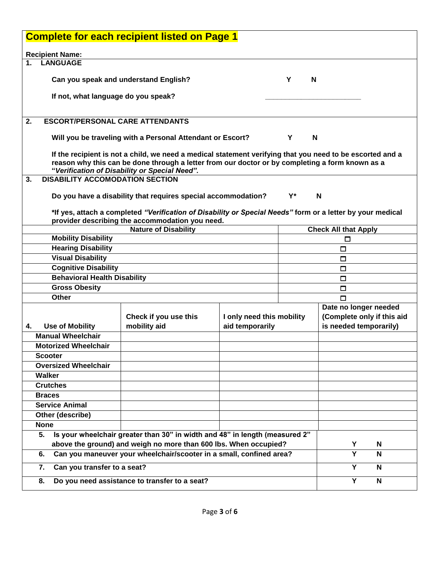| <b>Complete for each recipient listed on Page 1</b>                       |                                                                             |                                                                                                            |                           |                       |                            |   |  |  |  |  |
|---------------------------------------------------------------------------|-----------------------------------------------------------------------------|------------------------------------------------------------------------------------------------------------|---------------------------|-----------------------|----------------------------|---|--|--|--|--|
| <b>Recipient Name:</b>                                                    |                                                                             |                                                                                                            |                           |                       |                            |   |  |  |  |  |
| 1.                                                                        | <b>LANGUAGE</b>                                                             |                                                                                                            |                           |                       |                            |   |  |  |  |  |
|                                                                           |                                                                             |                                                                                                            |                           |                       |                            |   |  |  |  |  |
|                                                                           | Can you speak and understand English?                                       | Y<br>N                                                                                                     |                           |                       |                            |   |  |  |  |  |
|                                                                           | If not, what language do you speak?                                         |                                                                                                            |                           |                       |                            |   |  |  |  |  |
|                                                                           |                                                                             |                                                                                                            |                           |                       |                            |   |  |  |  |  |
| 2.                                                                        | <b>ESCORT/PERSONAL CARE ATTENDANTS</b>                                      |                                                                                                            |                           |                       |                            |   |  |  |  |  |
|                                                                           |                                                                             |                                                                                                            |                           |                       |                            |   |  |  |  |  |
|                                                                           |                                                                             | Will you be traveling with a Personal Attendant or Escort?                                                 |                           | N<br>Y                |                            |   |  |  |  |  |
|                                                                           |                                                                             | If the recipient is not a child, we need a medical statement verifying that you need to be escorted and a  |                           |                       |                            |   |  |  |  |  |
|                                                                           |                                                                             | reason why this can be done through a letter from our doctor or by completing a form known as a            |                           |                       |                            |   |  |  |  |  |
|                                                                           |                                                                             | "Verification of Disability or Special Need".                                                              |                           |                       |                            |   |  |  |  |  |
| 3.                                                                        | <b>DISABILITY ACCOMODATION SECTION</b>                                      |                                                                                                            |                           |                       |                            |   |  |  |  |  |
|                                                                           |                                                                             | Do you have a disability that requires special accommodation?                                              |                           | Y*                    | N                          |   |  |  |  |  |
|                                                                           |                                                                             |                                                                                                            |                           |                       |                            |   |  |  |  |  |
|                                                                           |                                                                             | *If yes, attach a completed "Verification of Disability or Special Needs" form or a letter by your medical |                           |                       |                            |   |  |  |  |  |
|                                                                           | provider describing the accommodation you need.                             | <b>Check All that Apply</b>                                                                                |                           |                       |                            |   |  |  |  |  |
|                                                                           | <b>Mobility Disability</b>                                                  | <b>Nature of Disability</b>                                                                                |                           |                       | □                          |   |  |  |  |  |
|                                                                           | <b>Hearing Disability</b>                                                   |                                                                                                            |                           |                       | □                          |   |  |  |  |  |
|                                                                           | <b>Visual Disability</b>                                                    | □                                                                                                          |                           |                       |                            |   |  |  |  |  |
|                                                                           | <b>Cognitive Disability</b>                                                 |                                                                                                            |                           |                       | $\Box$                     |   |  |  |  |  |
|                                                                           | <b>Behavioral Health Disability</b>                                         |                                                                                                            |                           |                       | $\Box$                     |   |  |  |  |  |
|                                                                           | <b>Gross Obesity</b>                                                        |                                                                                                            |                           |                       | $\Box$                     |   |  |  |  |  |
|                                                                           | <b>Other</b>                                                                |                                                                                                            |                           |                       | П                          |   |  |  |  |  |
|                                                                           |                                                                             |                                                                                                            |                           | Date no longer needed |                            |   |  |  |  |  |
|                                                                           |                                                                             | Check if you use this                                                                                      | I only need this mobility |                       | (Complete only if this aid |   |  |  |  |  |
| 4.                                                                        | <b>Use of Mobility</b><br><b>Manual Wheelchair</b>                          | mobility aid                                                                                               | aid temporarily           |                       | is needed temporarily)     |   |  |  |  |  |
|                                                                           | <b>Motorized Wheelchair</b>                                                 |                                                                                                            |                           |                       |                            |   |  |  |  |  |
|                                                                           | <b>Scooter</b>                                                              |                                                                                                            |                           |                       |                            |   |  |  |  |  |
|                                                                           | <b>Oversized Wheelchair</b>                                                 |                                                                                                            |                           |                       |                            |   |  |  |  |  |
|                                                                           | Walker                                                                      |                                                                                                            |                           |                       |                            |   |  |  |  |  |
|                                                                           | <b>Crutches</b>                                                             |                                                                                                            |                           |                       |                            |   |  |  |  |  |
|                                                                           | <b>Braces</b>                                                               |                                                                                                            |                           |                       |                            |   |  |  |  |  |
|                                                                           | <b>Service Animal</b>                                                       |                                                                                                            |                           |                       |                            |   |  |  |  |  |
|                                                                           | Other (describe)                                                            |                                                                                                            |                           |                       |                            |   |  |  |  |  |
| <b>None</b>                                                               |                                                                             |                                                                                                            |                           |                       |                            |   |  |  |  |  |
| 5.                                                                        | Is your wheelchair greater than 30" in width and 48" in length (measured 2" |                                                                                                            |                           |                       |                            |   |  |  |  |  |
| above the ground) and weigh no more than 600 lbs. When occupied?          |                                                                             |                                                                                                            |                           |                       |                            | N |  |  |  |  |
| Can you maneuver your wheelchair/scooter in a small, confined area?<br>6. |                                                                             |                                                                                                            |                           |                       | Y                          | N |  |  |  |  |
| 7.                                                                        | Can you transfer to a seat?                                                 | Y                                                                                                          | N                         |                       |                            |   |  |  |  |  |
| 8.                                                                        | Do you need assistance to transfer to a seat?                               | Y                                                                                                          | N                         |                       |                            |   |  |  |  |  |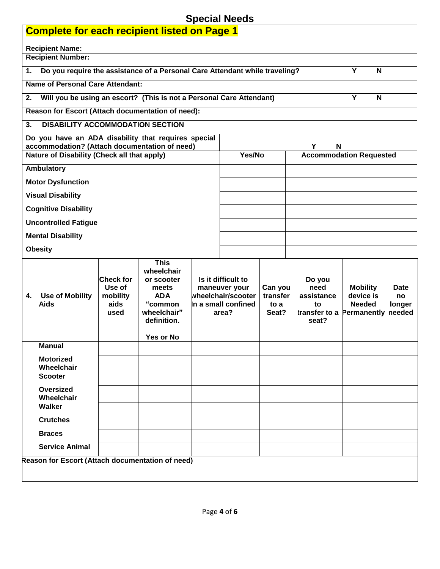## **Special Needs**

| <b>opecial needs</b><br><b>Complete for each recipient listed on Page 1</b>                                    |                                                        |                                                                                                                      |  |                                                                                           |                                      |  |                                             |                                                                            |                                       |
|----------------------------------------------------------------------------------------------------------------|--------------------------------------------------------|----------------------------------------------------------------------------------------------------------------------|--|-------------------------------------------------------------------------------------------|--------------------------------------|--|---------------------------------------------|----------------------------------------------------------------------------|---------------------------------------|
| <b>Recipient Name:</b>                                                                                         |                                                        |                                                                                                                      |  |                                                                                           |                                      |  |                                             |                                                                            |                                       |
| <b>Recipient Number:</b>                                                                                       |                                                        |                                                                                                                      |  |                                                                                           |                                      |  |                                             |                                                                            |                                       |
| Y<br>N<br>Do you require the assistance of a Personal Care Attendant while traveling?<br>1.                    |                                                        |                                                                                                                      |  |                                                                                           |                                      |  |                                             |                                                                            |                                       |
| <b>Name of Personal Care Attendant:</b>                                                                        |                                                        |                                                                                                                      |  |                                                                                           |                                      |  |                                             |                                                                            |                                       |
| Will you be using an escort? (This is not a Personal Care Attendant)<br>Y<br>2.<br>N                           |                                                        |                                                                                                                      |  |                                                                                           |                                      |  |                                             |                                                                            |                                       |
| Reason for Escort (Attach documentation of need):                                                              |                                                        |                                                                                                                      |  |                                                                                           |                                      |  |                                             |                                                                            |                                       |
| <b>DISABILITY ACCOMMODATION SECTION</b><br>3.                                                                  |                                                        |                                                                                                                      |  |                                                                                           |                                      |  |                                             |                                                                            |                                       |
| Do you have an ADA disability that requires special<br>accommodation? (Attach documentation of need)<br>Υ<br>N |                                                        |                                                                                                                      |  |                                                                                           |                                      |  |                                             |                                                                            |                                       |
| Nature of Disability (Check all that apply)                                                                    |                                                        |                                                                                                                      |  | Yes/No                                                                                    |                                      |  | <b>Accommodation Requested</b>              |                                                                            |                                       |
| Ambulatory                                                                                                     |                                                        |                                                                                                                      |  |                                                                                           |                                      |  |                                             |                                                                            |                                       |
| <b>Motor Dysfunction</b>                                                                                       |                                                        |                                                                                                                      |  |                                                                                           |                                      |  |                                             |                                                                            |                                       |
| <b>Visual Disability</b>                                                                                       |                                                        |                                                                                                                      |  |                                                                                           |                                      |  |                                             |                                                                            |                                       |
| <b>Cognitive Disability</b>                                                                                    |                                                        |                                                                                                                      |  |                                                                                           |                                      |  |                                             |                                                                            |                                       |
| <b>Uncontrolled Fatigue</b>                                                                                    |                                                        |                                                                                                                      |  |                                                                                           |                                      |  |                                             |                                                                            |                                       |
| <b>Mental Disability</b>                                                                                       |                                                        |                                                                                                                      |  |                                                                                           |                                      |  |                                             |                                                                            |                                       |
| <b>Obesity</b>                                                                                                 |                                                        |                                                                                                                      |  |                                                                                           |                                      |  |                                             |                                                                            |                                       |
| <b>Use of Mobility</b><br>4.<br><b>Aids</b>                                                                    | <b>Check for</b><br>Use of<br>mobility<br>aids<br>used | <b>This</b><br>wheelchair<br>or scooter<br>meets<br><b>ADA</b><br>"common<br>wheelchair"<br>definition.<br>Yes or No |  | Is it difficult to<br>maneuver your<br>wheelchair/scooter<br>In a small confined<br>area? | Can you<br>transfer<br>to a<br>Seat? |  | Do you<br>need<br>assistance<br>to<br>seat? | <b>Mobility</b><br>device is<br><b>Needed</b><br>transfer to a Permanently | <b>Date</b><br>no<br>longer<br>needed |
| <b>Manual</b>                                                                                                  |                                                        |                                                                                                                      |  |                                                                                           |                                      |  |                                             |                                                                            |                                       |
| <b>Motorized</b><br>Wheelchair                                                                                 |                                                        |                                                                                                                      |  |                                                                                           |                                      |  |                                             |                                                                            |                                       |
| <b>Scooter</b>                                                                                                 |                                                        |                                                                                                                      |  |                                                                                           |                                      |  |                                             |                                                                            |                                       |
| Oversized<br>Wheelchair<br>Walker                                                                              |                                                        |                                                                                                                      |  |                                                                                           |                                      |  |                                             |                                                                            |                                       |
| <b>Crutches</b>                                                                                                |                                                        |                                                                                                                      |  |                                                                                           |                                      |  |                                             |                                                                            |                                       |
| <b>Braces</b>                                                                                                  |                                                        |                                                                                                                      |  |                                                                                           |                                      |  |                                             |                                                                            |                                       |
| <b>Service Animal</b>                                                                                          |                                                        |                                                                                                                      |  |                                                                                           |                                      |  |                                             |                                                                            |                                       |
| Reason for Escort (Attach documentation of need)                                                               |                                                        |                                                                                                                      |  |                                                                                           |                                      |  |                                             |                                                                            |                                       |
|                                                                                                                |                                                        |                                                                                                                      |  |                                                                                           |                                      |  |                                             |                                                                            |                                       |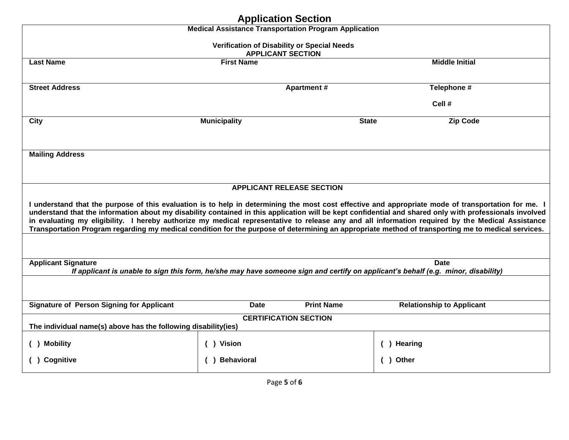|                                                                | <b>Medical Assistance Transportation Program Application</b> |                                             |                                                                                                                                                                                                                                                                                                                                                                                                                                                                                                                                                                                                                          |  |  |  |  |  |
|----------------------------------------------------------------|--------------------------------------------------------------|---------------------------------------------|--------------------------------------------------------------------------------------------------------------------------------------------------------------------------------------------------------------------------------------------------------------------------------------------------------------------------------------------------------------------------------------------------------------------------------------------------------------------------------------------------------------------------------------------------------------------------------------------------------------------------|--|--|--|--|--|
|                                                                |                                                              |                                             |                                                                                                                                                                                                                                                                                                                                                                                                                                                                                                                                                                                                                          |  |  |  |  |  |
|                                                                | <b>APPLICANT SECTION</b>                                     | Verification of Disability or Special Needs |                                                                                                                                                                                                                                                                                                                                                                                                                                                                                                                                                                                                                          |  |  |  |  |  |
| <b>Last Name</b>                                               | <b>First Name</b>                                            |                                             | <b>Middle Initial</b>                                                                                                                                                                                                                                                                                                                                                                                                                                                                                                                                                                                                    |  |  |  |  |  |
| <b>Street Address</b>                                          |                                                              | <b>Apartment#</b>                           | Telephone #                                                                                                                                                                                                                                                                                                                                                                                                                                                                                                                                                                                                              |  |  |  |  |  |
|                                                                |                                                              |                                             | Cell #                                                                                                                                                                                                                                                                                                                                                                                                                                                                                                                                                                                                                   |  |  |  |  |  |
| <b>City</b>                                                    | <b>Municipality</b>                                          |                                             | <b>Zip Code</b><br><b>State</b>                                                                                                                                                                                                                                                                                                                                                                                                                                                                                                                                                                                          |  |  |  |  |  |
| <b>Mailing Address</b>                                         |                                                              |                                             |                                                                                                                                                                                                                                                                                                                                                                                                                                                                                                                                                                                                                          |  |  |  |  |  |
|                                                                | <b>APPLICANT RELEASE SECTION</b>                             |                                             | I understand that the purpose of this evaluation is to help in determining the most cost effective and appropriate mode of transportation for me. I<br>understand that the information about my disability contained in this application will be kept confidential and shared only with professionals involved<br>in evaluating my eligibility. I hereby authorize my medical representative to release any and all information required by the Medical Assistance<br>Transportation Program regarding my medical condition for the purpose of determining an appropriate method of transporting me to medical services. |  |  |  |  |  |
| <b>Applicant Signature</b>                                     |                                                              |                                             | <b>Date</b><br>If applicant is unable to sign this form, he/she may have someone sign and certify on applicant's behalf (e.g. minor, disability)                                                                                                                                                                                                                                                                                                                                                                                                                                                                         |  |  |  |  |  |
|                                                                |                                                              |                                             |                                                                                                                                                                                                                                                                                                                                                                                                                                                                                                                                                                                                                          |  |  |  |  |  |
| <b>Signature of Person Signing for Applicant</b>               | <b>Date</b>                                                  | <b>Print Name</b>                           | <b>Relationship to Applicant</b>                                                                                                                                                                                                                                                                                                                                                                                                                                                                                                                                                                                         |  |  |  |  |  |
| The individual name(s) above has the following disability(ies) | <b>CERTIFICATION SECTION</b>                                 |                                             |                                                                                                                                                                                                                                                                                                                                                                                                                                                                                                                                                                                                                          |  |  |  |  |  |
| <b>Mobility</b>                                                | <b>Vision</b>                                                |                                             | <b>Hearing</b>                                                                                                                                                                                                                                                                                                                                                                                                                                                                                                                                                                                                           |  |  |  |  |  |
| Cognitive                                                      | <b>Behavioral</b>                                            |                                             | () Other                                                                                                                                                                                                                                                                                                                                                                                                                                                                                                                                                                                                                 |  |  |  |  |  |